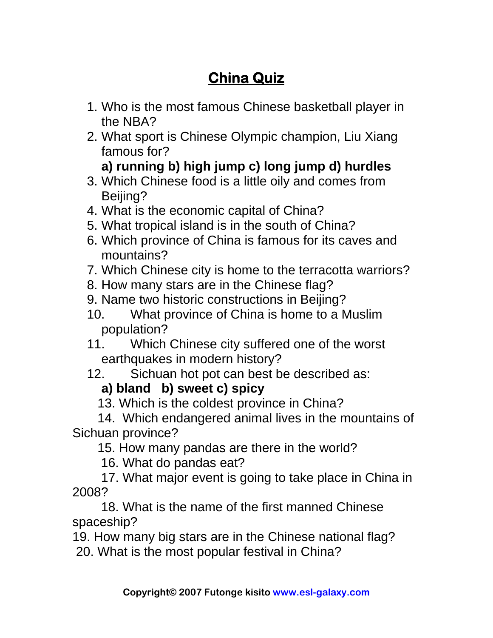## **China Quiz**

- 1. Who is the most famous Chinese basketball player in the NBA?
- 2. What sport is Chinese Olympic champion, Liu Xiang famous for?

## **a) running b) high jump c) long jump d) hurdles**

- 3. Which Chinese food is a little oily and comes from Beijing?
- 4. What is the economic capital of China?
- 5. What tropical island is in the south of China?
- 6. Which province of China is famous for its caves and mountains?
- 7. Which Chinese city is home to the terracotta warriors?
- 8. How many stars are in the Chinese flag?
- 9. Name two historic constructions in Beijing?
- 10. What province of China is home to a Muslim population?
- 11. Which Chinese city suffered one of the worst earthquakes in modern history?
- 12. Sichuan hot pot can best be described as:

## **a) bland b) sweet c) spicy**

13. Which is the coldest province in China?

 14. Which endangered animal lives in the mountains of Sichuan province?

15. How many pandas are there in the world?

16. What do pandas eat?

 17. What major event is going to take place in China in 2008?

 18. What is the name of the first manned Chinese spaceship?

19. How many big stars are in the Chinese national flag? 20. What is the most popular festival in China?